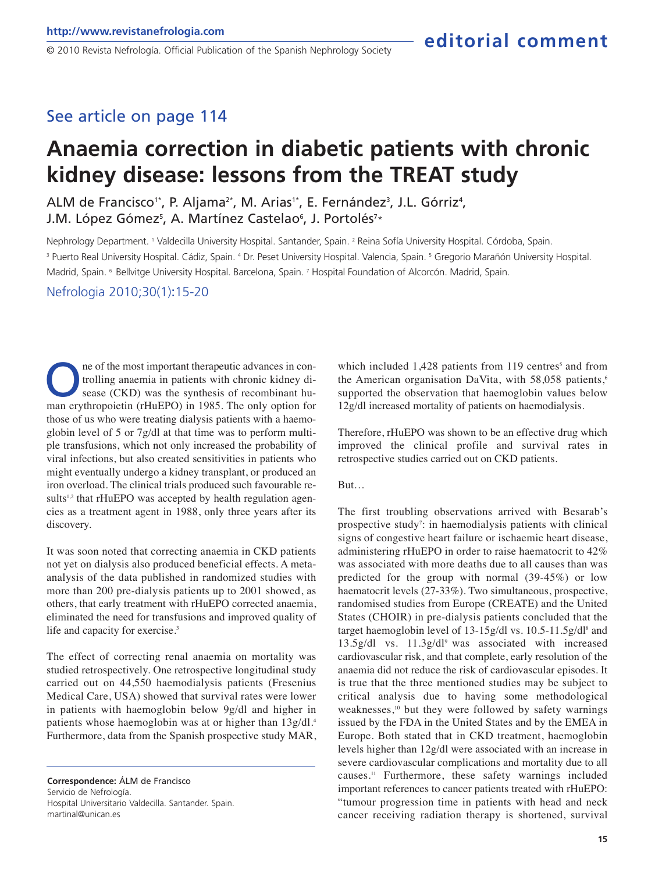© 2010 Revista Nefrología. Official Publication of the Spanish Nephrology Society

#### See article on page 114

# **Anaemia correction in diabetic patients with chronic kidney disease: lessons from the TREAT study**

ALM de Francisco<sup>1\*</sup>, P. Aljama<sup>2\*</sup>, M. Arias<sup>1\*</sup>, E. Fernández<sup>3</sup>, J.L. Górriz<sup>4</sup>, J.M. López Gómez<sup>s</sup>, A. Martínez Castelao<sup>s</sup>, J. Portolés<sup>7</sup>\*

Nephrology Department. <sup>1</sup> Valdecilla University Hospital. Santander, Spain. <sup>2</sup> Reina Sofía University Hospital. Córdoba, Spain. <sup>3</sup> Puerto Real University Hospital. Cádiz, Spain. <sup>4</sup> Dr. Peset University Hospital. Valencia, Spain. <sup>5</sup> Gregorio Marañón University Hospital. Madrid, Spain. 6 Bellvitge University Hospital. Barcelona, Spain. <sup>7</sup> Hospital Foundation of Alcorcón. Madrid, Spain.

Nefrologia 2010;30(1):15-20

The of the most important therapeutic advances in controlling anaemia in patients with chronic kidney disease (CKD) was the synthesis of recombinant human erythropoietin (rHuEPO) in 1985. The only option for ne of the most important therapeutic advances in controlling anaemia in patients with chronic kidney disease (CKD) was the synthesis of recombinant huthose of us who were treating dialysis patients with a haemoglobin level of 5 or 7g/dl at that time was to perform multiple transfusions, which not only increased the probability of viral infections, but also created sensitivities in patients who might eventually undergo a kidney transplant, or produced an iron overload. The clinical trials produced such favourable results<sup>1,2</sup> that rHuEPO was accepted by health regulation agencies as a treatment agent in 1988, only three years after its discovery.

It was soon noted that correcting anaemia in CKD patients not yet on dialysis also produced beneficial effects. A metaanalysis of the data published in randomized studies with more than 200 pre-dialysis patients up to 2001 showed, as others, that early treatment with rHuEPO corrected anaemia, eliminated the need for transfusions and improved quality of life and capacity for exercise.<sup>3</sup>

The effect of correcting renal anaemia on mortality was studied retrospectively. One retrospective longitudinal study carried out on 44,550 haemodialysis patients (Fresenius Medical Care, USA) showed that survival rates were lower in patients with haemoglobin below 9g/dl and higher in patients whose haemoglobin was at or higher than 13g/dl.<sup>4</sup> Furthermore, data from the Spanish prospective study MAR,

**Correspondence:** ÁLM de Francisco Servicio de Nefrología. Hospital Universitario Valdecilla. Santander. Spain. martinal@unican.es

which included  $1,428$  patients from 119 centres<sup>5</sup> and from the American organisation DaVita, with 58,058 patients,<sup>6</sup> supported the observation that haemoglobin values below 12g/dl increased mortality of patients on haemodialysis.

Therefore, rHuEPO was shown to be an effective drug which improved the clinical profile and survival rates in retrospective studies carried out on CKD patients.

But…

The first troubling observations arrived with Besarab's prospective study<sup>7</sup>: in haemodialysis patients with clinical signs of congestive heart failure or ischaemic heart disease, administering rHuEPO in order to raise haematocrit to 42% was associated with more deaths due to all causes than was predicted for the group with normal (39-45%) or low haematocrit levels (27-33%). Two simultaneous, prospective, randomised studies from Europe (CREATE) and the United States (CHOIR) in pre-dialysis patients concluded that the target haemoglobin level of  $13-15g/dl$  vs.  $10.5-11.5g/dl<sup>8</sup>$  and 13.5g/dl vs. 11.3g/dl9 was associated with increased cardiovascular risk, and that complete, early resolution of the anaemia did not reduce the risk of cardiovascular episodes. It is true that the three mentioned studies may be subject to critical analysis due to having some methodological weaknesses,<sup>10</sup> but they were followed by safety warnings issued by the FDA in the United States and by the EMEA in Europe. Both stated that in CKD treatment, haemoglobin levels higher than 12g/dl were associated with an increase in severe cardiovascular complications and mortality due to all causes.<sup>11</sup> Furthermore, these safety warnings included important references to cancer patients treated with rHuEPO: "tumour progression time in patients with head and neck cancer receiving radiation therapy is shortened, survival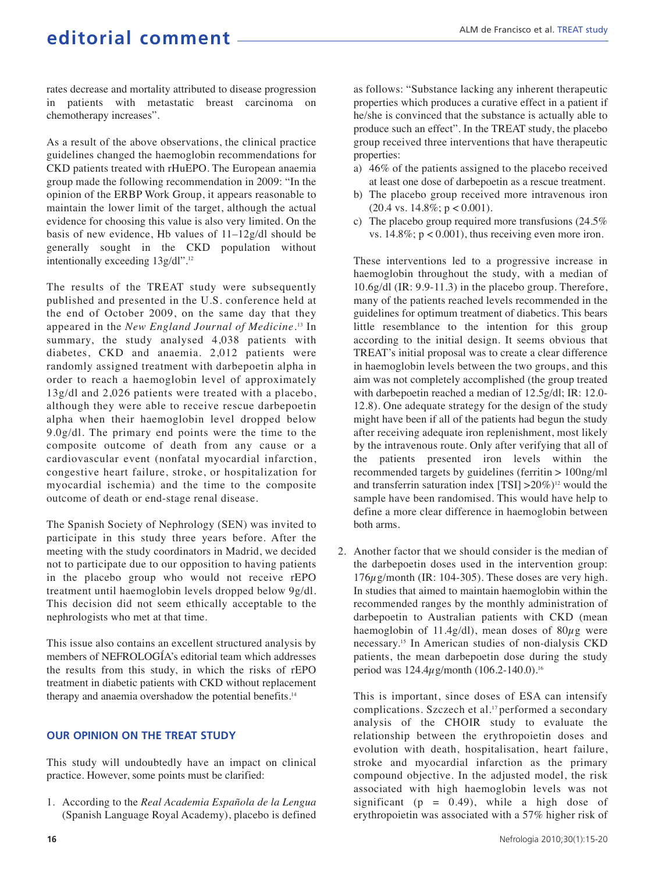rates decrease and mortality attributed to disease progression in patients with metastatic breast carcinoma on chemotherapy increases".

As a result of the above observations, the clinical practice guidelines changed the haemoglobin recommendations for CKD patients treated with rHuEPO. The European anaemia group made the following recommendation in 2009: "In the opinion of the ERBP Work Group, it appears reasonable to maintain the lower limit of the target, although the actual evidence for choosing this value is also very limited. On the basis of new evidence, Hb values of 11–12g/dl should be generally sought in the CKD population without intentionally exceeding 13g/dl".<sup>12</sup>

The results of the TREAT study were subsequently published and presented in the U.S. conference held at the end of October 2009, on the same day that they appeared in the *New England Journal of Medicine.*<sup>13</sup> In summary, the study analysed 4,038 patients with diabetes, CKD and anaemia. 2,012 patients were randomly assigned treatment with darbepoetin alpha in order to reach a haemoglobin level of approximately 13g/dl and 2,026 patients were treated with a placebo, although they were able to receive rescue darbepoetin alpha when their haemoglobin level dropped below 9.0g/dl. The primary end points were the time to the composite outcome of death from any cause or a cardiovascular event (nonfatal myocardial infarction, congestive heart failure, stroke, or hospitalization for myocardial ischemia) and the time to the composite outcome of death or end-stage renal disease.

The Spanish Society of Nephrology (SEN) was invited to participate in this study three years before. After the meeting with the study coordinators in Madrid, we decided not to participate due to our opposition to having patients in the placebo group who would not receive rEPO treatment until haemoglobin levels dropped below 9g/dl. This decision did not seem ethically acceptable to the nephrologists who met at that time.

This issue also contains an excellent structured analysis by members of NEFROLOGÍA's editorial team which addresses the results from this study, in which the risks of rEPO treatment in diabetic patients with CKD without replacement therapy and anaemia overshadow the potential benefits.<sup>14</sup>

#### **OUR OPINION ON THE TREAT STUDY**

This study will undoubtedly have an impact on clinical practice. However, some points must be clarified:

1. According to the *Real Academia Española de la Lengua* (Spanish Language Royal Academy), placebo is defined as follows: "Substance lacking any inherent therapeutic properties which produces a curative effect in a patient if he/she is convinced that the substance is actually able to produce such an effect". In the TREAT study, the placebo group received three interventions that have therapeutic properties:

- a) 46% of the patients assigned to the placebo received at least one dose of darbepoetin as a rescue treatment.
- b) The placebo group received more intravenous iron  $(20.4 \text{ vs. } 14.8\%; p < 0.001).$
- c) The placebo group required more transfusions (24.5% vs.  $14.8\%$ ;  $p < 0.001$ ), thus receiving even more iron.

These interventions led to a progressive increase in haemoglobin throughout the study, with a median of 10.6g/dl (IR: 9.9-11.3) in the placebo group. Therefore, many of the patients reached levels recommended in the guidelines for optimum treatment of diabetics. This bears little resemblance to the intention for this group according to the initial design. It seems obvious that TREAT's initial proposal was to create a clear difference in haemoglobin levels between the two groups, and this aim was not completely accomplished (the group treated with darbepoetin reached a median of 12.5g/dl; IR: 12.0- 12.8). One adequate strategy for the design of the study might have been if all of the patients had begun the study after receiving adequate iron replenishment, most likely by the intravenous route. Only after verifying that all of the patients presented iron levels within the recommended targets by guidelines (ferritin > 100ng/ml and transferrin saturation index  $[TSI] > 20\%$ <sup>12</sup> would the sample have been randomised. This would have help to define a more clear difference in haemoglobin between both arms.

2. Another factor that we should consider is the median of the darbepoetin doses used in the intervention group:  $176\mu$ g/month (IR: 104-305). These doses are very high. In studies that aimed to maintain haemoglobin within the recommended ranges by the monthly administration of darbepoetin to Australian patients with CKD (mean haemoglobin of 11.4g/dl), mean doses of  $80\mu$ g were necessary.<sup>15</sup> In American studies of non-dialysis CKD patients, the mean darbepoetin dose during the study period was  $124.4\mu$ g/month (106.2-140.0).<sup>16</sup>

This is important, since doses of ESA can intensify complications. Szczech et al.<sup>17</sup> performed a secondary analysis of the CHOIR study to evaluate the relationship between the erythropoietin doses and evolution with death, hospitalisation, heart failure, stroke and myocardial infarction as the primary compound objective. In the adjusted model, the risk associated with high haemoglobin levels was not significant ( $p = 0.49$ ), while a high dose of erythropoietin was associated with a 57% higher risk of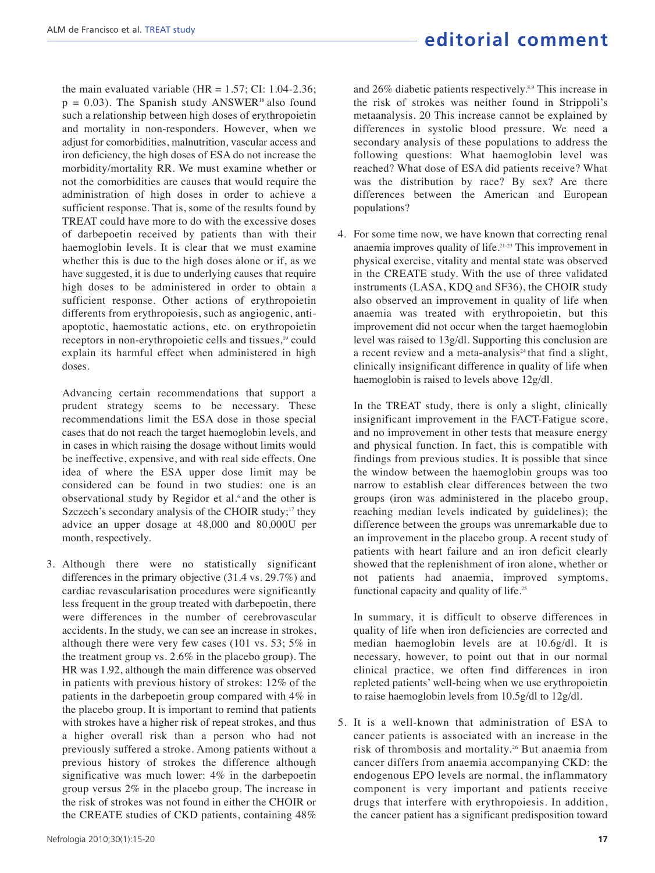the main evaluated variable (HR =  $1.57$ ; CI:  $1.04$ - $2.36$ ;  $p = 0.03$ ). The Spanish study ANSWER<sup>18</sup> also found such a relationship between high doses of erythropoietin and mortality in non-responders. However, when we adjust for comorbidities, malnutrition, vascular access and iron deficiency, the high doses of ESA do not increase the morbidity/mortality RR. We must examine whether or not the comorbidities are causes that would require the administration of high doses in order to achieve a sufficient response. That is, some of the results found by TREAT could have more to do with the excessive doses of darbepoetin received by patients than with their haemoglobin levels. It is clear that we must examine whether this is due to the high doses alone or if, as we have suggested, it is due to underlying causes that require high doses to be administered in order to obtain a sufficient response. Other actions of erythropoietin differents from erythropoiesis, such as angiogenic, antiapoptotic, haemostatic actions, etc. on erythropoietin receptors in non-erythropoietic cells and tissues,<sup>19</sup> could explain its harmful effect when administered in high doses.

Advancing certain recommendations that support a prudent strategy seems to be necessary. These recommendations limit the ESA dose in those special cases that do not reach the target haemoglobin levels, and in cases in which raising the dosage without limits would be ineffective, expensive, and with real side effects. One idea of where the ESA upper dose limit may be considered can be found in two studies: one is an observational study by Regidor et al.<sup>6</sup> and the other is Szczech's secondary analysis of the CHOIR study; $17$  they advice an upper dosage at 48,000 and 80,000U per month, respectively.

3. Although there were no statistically significant differences in the primary objective (31.4 vs. 29.7%) and cardiac revascularisation procedures were significantly less frequent in the group treated with darbepoetin, there were differences in the number of cerebrovascular accidents. In the study, we can see an increase in strokes, although there were very few cases (101 vs. 53; 5% in the treatment group vs. 2.6% in the placebo group). The HR was 1.92, although the main difference was observed in patients with previous history of strokes: 12% of the patients in the darbepoetin group compared with 4% in the placebo group. It is important to remind that patients with strokes have a higher risk of repeat strokes, and thus a higher overall risk than a person who had not previously suffered a stroke. Among patients without a previous history of strokes the difference although significative was much lower: 4% in the darbepoetin group versus 2% in the placebo group. The increase in the risk of strokes was not found in either the CHOIR or the CREATE studies of CKD patients, containing 48%

and 26% diabetic patients respectively.<sup>8,9</sup> This increase in the risk of strokes was neither found in Strippoli's metaanalysis. 20 This increase cannot be explained by differences in systolic blood pressure. We need a secondary analysis of these populations to address the following questions: What haemoglobin level was reached? What dose of ESA did patients receive? What was the distribution by race? By sex? Are there differences between the American and European populations?

4. For some time now, we have known that correcting renal anaemia improves quality of life.21-23 This improvement in physical exercise, vitality and mental state was observed in the CREATE study. With the use of three validated instruments (LASA, KDQ and SF36), the CHOIR study also observed an improvement in quality of life when anaemia was treated with erythropoietin, but this improvement did not occur when the target haemoglobin level was raised to 13g/dl. Supporting this conclusion are a recent review and a meta-analysis<sup>24</sup> that find a slight, clinically insignificant difference in quality of life when haemoglobin is raised to levels above 12g/dl.

In the TREAT study, there is only a slight, clinically insignificant improvement in the FACT-Fatigue score, and no improvement in other tests that measure energy and physical function. In fact, this is compatible with findings from previous studies. It is possible that since the window between the haemoglobin groups was too narrow to establish clear differences between the two groups (iron was administered in the placebo group, reaching median levels indicated by guidelines); the difference between the groups was unremarkable due to an improvement in the placebo group. A recent study of patients with heart failure and an iron deficit clearly showed that the replenishment of iron alone, whether or not patients had anaemia, improved symptoms, functional capacity and quality of life.<sup>25</sup>

In summary, it is difficult to observe differences in quality of life when iron deficiencies are corrected and median haemoglobin levels are at 10.6g/dl. It is necessary, however, to point out that in our normal clinical practice, we often find differences in iron repleted patients' well-being when we use erythropoietin to raise haemoglobin levels from 10.5g/dl to 12g/dl.

5. It is a well-known that administration of ESA to cancer patients is associated with an increase in the risk of thrombosis and mortality.<sup>26</sup> But anaemia from cancer differs from anaemia accompanying CKD: the endogenous EPO levels are normal, the inflammatory component is very important and patients receive drugs that interfere with erythropoiesis. In addition, the cancer patient has a significant predisposition toward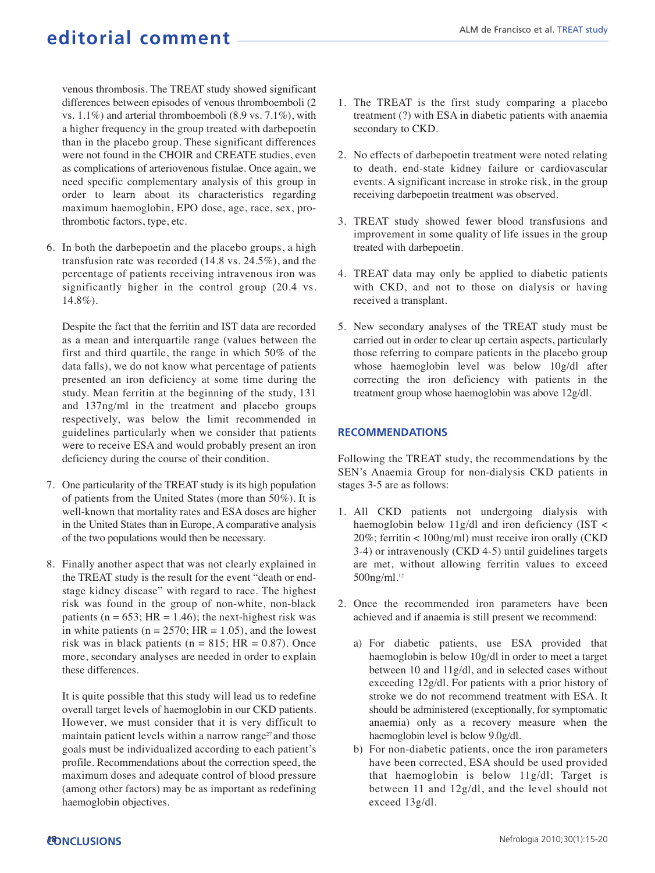venous thrombosis. The TREAT study showed significant differences between episodes of venous thromboemboli (2 vs. 1.1%) and arterial thromboemboli (8.9 vs. 7.1%), with a higher frequency in the group treated with darbepoetin than in the placebo group. These significant differences were not found in the CHOIR and CREATE studies, even as complications of arteriovenous fistulae. Once again, we need specific complementary analysis of this group in order to learn about its characteristics regarding maximum haemoglobin, EPO dose, age, race, sex, prothrombotic factors, type, etc.

6. In both the darbepoetin and the placebo groups, a high transfusion rate was recorded (14.8 vs. 24.5%), and the percentage of patients receiving intravenous iron was significantly higher in the control group (20.4 vs. 14.8%).

Despite the fact that the ferritin and IST data are recorded as a mean and interquartile range (values between the first and third quartile, the range in which 50% of the data falls), we do not know what percentage of patients presented an iron deficiency at some time during the study. Mean ferritin at the beginning of the study, 131 and 137ng/ml in the treatment and placebo groups respectively, was below the limit recommended in guidelines particularly when we consider that patients were to receive ESA and would probably present an iron deficiency during the course of their condition.

- 7. One particularity of the TREAT study is its high population of patients from the United States (more than 50%). It is well-known that mortality rates and ESA doses are higher in the United States than in Europe, A comparative analysis of the two populations would then be necessary.
- 8. Finally another aspect that was not clearly explained in the TREAT study is the result for the event "death or endstage kidney disease" with regard to race. The highest risk was found in the group of non-white, non-black patients ( $n = 653$ ; HR = 1.46); the next-highest risk was in white patients ( $n = 2570$ ; HR = 1.05), and the lowest risk was in black patients ( $n = 815$ ; HR = 0.87). Once more, secondary analyses are needed in order to explain these differences.

It is quite possible that this study will lead us to redefine overall target levels of haemoglobin in our CKD patients. However, we must consider that it is very difficult to maintain patient levels within a narrow range<sup>27</sup> and those goals must be individualized according to each patient's profile. Recommendations about the correction speed, the maximum doses and adequate control of blood pressure (among other factors) may be as important as redefining haemoglobin objectives.

- 1. The TREAT is the first study comparing a placebo treatment (?) with ESA in diabetic patients with anaemia secondary to CKD.
- 2. No effects of darbepoetin treatment were noted relating to death, end-state kidney failure or cardiovascular events. A significant increase in stroke risk, in the group receiving darbepoetin treatment was observed.
- 3. TREAT study showed fewer blood transfusions and improvement in some quality of life issues in the group treated with darbepoetin.
- 4. TREAT data may only be applied to diabetic patients with CKD, and not to those on dialysis or having received a transplant.
- 5. New secondary analyses of the TREAT study must be carried out in order to clear up certain aspects, particularly those referring to compare patients in the placebo group whose haemoglobin level was below 10g/dl after correcting the iron deficiency with patients in the treatment group whose haemoglobin was above 12g/dl.

#### **RECOMMENDATIONS**

Following the TREAT study, the recommendations by the SEN's Anaemia Group for non-dialysis CKD patients in stages 3-5 are as follows:

- 1. All CKD patients not undergoing dialysis with haemoglobin below 11g/dl and iron deficiency (IST < 20%; ferritin < 100ng/ml) must receive iron orally (CKD 3-4) or intravenously (CKD 4-5) until guidelines targets are met, without allowing ferritin values to exceed 500ng/ml.<sup>12</sup>
- 2. Once the recommended iron parameters have been achieved and if anaemia is still present we recommend:
	- a) For diabetic patients, use ESA provided that haemoglobin is below 10g/dl in order to meet a target between 10 and 11g/dl, and in selected cases without exceeding 12g/dl. For patients with a prior history of stroke we do not recommend treatment with ESA. It should be administered (exceptionally, for symptomatic anaemia) only as a recovery measure when the haemoglobin level is below 9.0g/dl.
	- b) For non-diabetic patients, once the iron parameters have been corrected, ESA should be used provided that haemoglobin is below 11g/dl; Target is between 11 and 12g/dl, and the level should not exceed 13g/dl.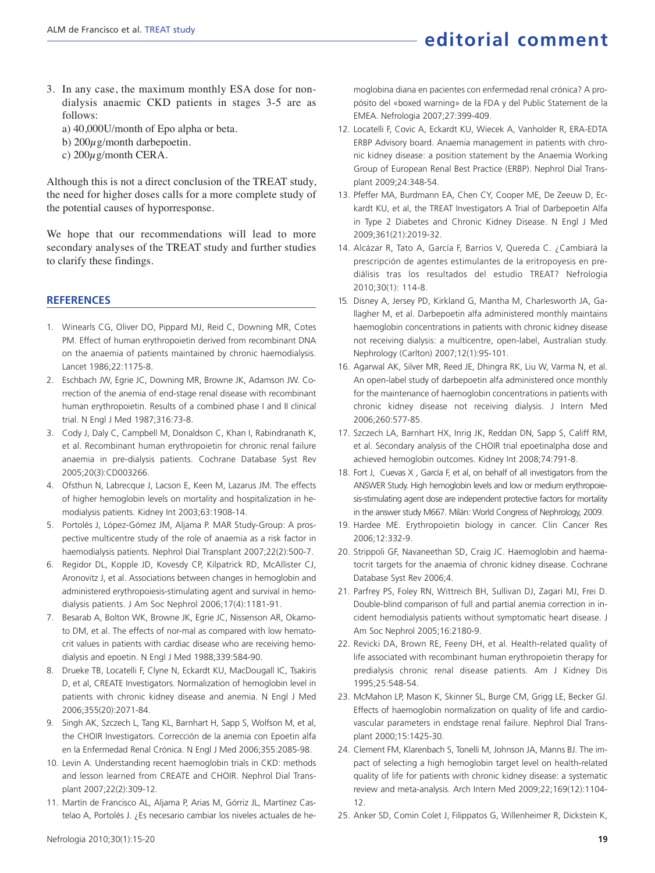- 3. In any case, the maximum monthly ESA dose for nondialysis anaemic CKD patients in stages 3-5 are as follows:
	- a) 40,000U/month of Epo alpha or beta.
	- b)  $200\mu$ g/month darbepoetin.
	- c)  $200\mu$ g/month CERA.

Although this is not a direct conclusion of the TREAT study, the need for higher doses calls for a more complete study of the potential causes of hyporresponse.

We hope that our recommendations will lead to more secondary analyses of the TREAT study and further studies to clarify these findings.

#### **REFERENCES**

- 1. Winearls CG, Oliver DO, Pippard MJ, Reid C, Downing MR, Cotes PM. Effect of human erythropoietin derived from recombinant DNA on the anaemia of patients maintained by chronic haemodialysis. Lancet 1986;22:1175-8.
- 2. Eschbach JW, Egrie JC, Downing MR, Browne JK, Adamson JW. Correction of the anemia of end-stage renal disease with recombinant human erythropoietin. Results of a combined phase I and II clinical trial. N Engl J Med 1987;316:73-8.
- 3. Cody J, Daly C, Campbell M, Donaldson C, Khan I, Rabindranath K, et al. Recombinant human erythropoietin for chronic renal failure anaemia in pre-dialysis patients. Cochrane Database Syst Rev 2005;20(3):CD003266.
- 4. Ofsthun N, Labrecque J, Lacson E, Keen M, Lazarus JM. The effects of higher hemoglobin levels on mortality and hospitalization in hemodialysis patients. Kidney Int 2003;63:1908-14.
- 5. Portolés J, López-Gómez JM, Aljama P. MAR Study-Group: A prospective multicentre study of the role of anaemia as a risk factor in haemodialysis patients. Nephrol Dial Transplant 2007;22(2):500-7.
- 6. Regidor DL, Kopple JD, Kovesdy CP, Kilpatrick RD, McAllister CJ, Aronovitz J, et al. Associations between changes in hemoglobin and administered erythropoiesis-stimulating agent and survival in hemodialysis patients. J Am Soc Nephrol 2006;17(4):1181-91.
- 7. Besarab A, Bolton WK, Browne JK, Egrie JC, Nissenson AR, Okamoto DM, et al. The effects of nor-mal as compared with low hematocrit values in patients with cardiac disease who are receiving hemodialysis and epoetin. N Engl J Med 1988;339:584-90.
- 8. Drueke TB, Locatelli F, Clyne N, Eckardt KU, MacDougall IC, Tsakiris D, et al, CREATE Investigators. Normalization of hemoglobin level in patients with chronic kidney disease and anemia. N Engl J Med 2006;355(20):2071-84.
- 9. Singh AK, Szczech L, Tang KL, Barnhart H, Sapp S, Wolfson M, et al, the CHOIR Investigators. Corrección de la anemia con Epoetin alfa en la Enfermedad Renal Crónica. N Engl J Med 2006;355:2085-98.
- 10. Levin A. Understanding recent haemoglobin trials in CKD: methods and lesson learned from CREATE and CHOIR. Nephrol Dial Transplant 2007;22(2):309-12.
- 11. Martín de Francisco AL, Aljama P, Arias M, Górriz JL, Martínez Castelao A, Portolés J. ¿Es necesario cambiar los niveles actuales de he-

moglobina diana en pacientes con enfermedad renal crónica? A propósito del «boxed warning» de la FDA y del Public Statement de la EMEA. Nefrologia 2007;27:399-409.

- 12. Locatelli F, Covic A, Eckardt KU, Wiecek A, Vanholder R, ERA-EDTA ERBP Advisory board. Anaemia management in patients with chronic kidney disease: a position statement by the Anaemia Working Group of European Renal Best Practice (ERBP). Nephrol Dial Transplant 2009;24:348-54.
- 13. Pfeffer MA, Burdmann EA, Chen CY, Cooper ME, De Zeeuw D, Eckardt KU, et al, the TREAT Investigators A Trial of Darbepoetin Alfa in Type 2 Diabetes and Chronic Kidney Disease. N Engl J Med 2009;361(21):2019-32.
- 14. Alcázar R, Tato A, García F, Barrios V, Quereda C. ¿Cambiará la prescripción de agentes estimulantes de la eritropoyesis en prediálisis tras los resultados del estudio TREAT? Nefrologia 2010;30(1): 114-8.
- 15. Disney A, Jersey PD, Kirkland G, Mantha M, Charlesworth JA, Gallagher M, et al. Darbepoetin alfa administered monthly maintains haemoglobin concentrations in patients with chronic kidney disease not receiving dialysis: a multicentre, open-label, Australian study. Nephrology (Carlton) 2007;12(1):95-101.
- 16. Agarwal AK, Silver MR, Reed JE, Dhingra RK, Liu W, Varma N, et al. An open-label study of darbepoetin alfa administered once monthly for the maintenance of haemoglobin concentrations in patients with chronic kidney disease not receiving dialysis. J Intern Med 2006;260:577-85.
- 17. Szczech LA, Barnhart HX, Inrig JK, Reddan DN, Sapp S, Califf RM, et al. Secondary analysis of the CHOIR trial epoetinalpha dose and achieved hemoglobin outcomes. Kidney Int 2008;74:791-8.
- 18. Fort J, Cuevas X , García F, et al, on behalf of all investigators from the ANSWER Study. High hemoglobin levels and low or medium erythropoiesis-stimulating agent dose are independent protective factors for mortality in the answer study M667. Milán: World Congress of Nephrology, 2009.
- 19. Hardee ME. Erythropoietin biology in cancer. Clin Cancer Res 2006;12:332-9.
- 20. Strippoli GF, Navaneethan SD, Craig JC. Haemoglobin and haematocrit targets for the anaemia of chronic kidney disease. Cochrane Database Syst Rev 2006;4.
- 21. Parfrey PS, Foley RN, Wittreich BH, Sullivan DJ, Zagari MJ, Frei D. Double-blind comparison of full and partial anemia correction in incident hemodialysis patients without symptomatic heart disease. J Am Soc Nephrol 2005;16:2180-9.
- 22. Revicki DA, Brown RE, Feeny DH, et al. Health-related quality of life associated with recombinant human erythropoietin therapy for predialysis chronic renal disease patients. Am J Kidney Dis 1995;25:548-54.
- 23. McMahon LP, Mason K, Skinner SL, Burge CM, Grigg LE, Becker GJ. Effects of haemoglobin normalization on quality of life and cardiovascular parameters in endstage renal failure. Nephrol Dial Transplant 2000;15:1425-30.
- 24. Clement FM, Klarenbach S, Tonelli M, Johnson JA, Manns BJ. The impact of selecting a high hemoglobin target level on health-related quality of life for patients with chronic kidney disease: a systematic review and meta-analysis. Arch Intern Med 2009;22;169(12):1104- 12.
- 25. Anker SD, Comin Colet J, Filippatos G, Willenheimer R, Dickstein K,